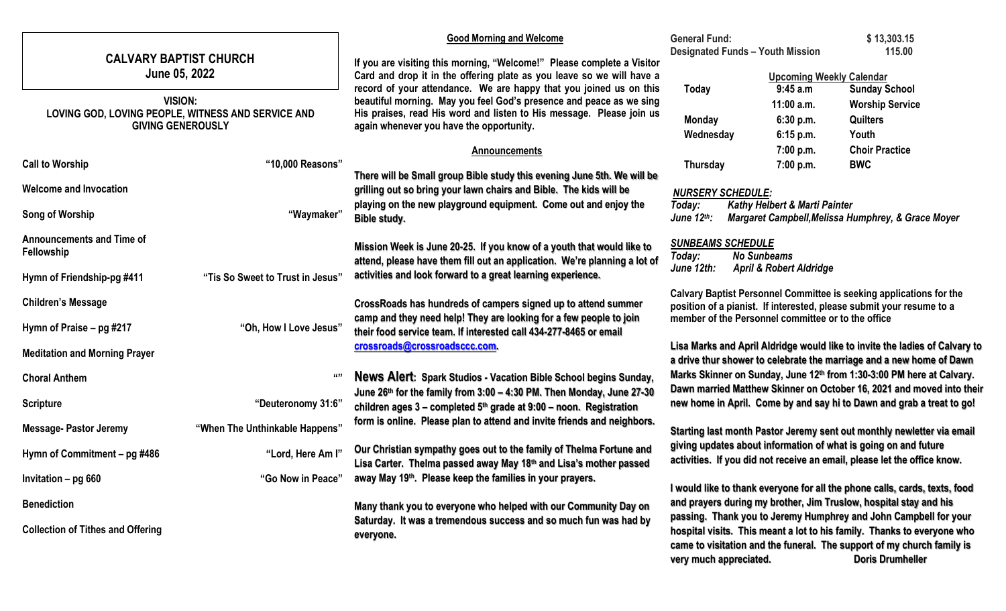|                                                                                                  |                                  | <b>Good Morning and Welcome</b>                                                                                                                                                                                                                                                                                                        | <b>General Fund:</b>                                                                                                                                                                                                |                                                    | \$13,303.15                                                                                                                                         |
|--------------------------------------------------------------------------------------------------|----------------------------------|----------------------------------------------------------------------------------------------------------------------------------------------------------------------------------------------------------------------------------------------------------------------------------------------------------------------------------------|---------------------------------------------------------------------------------------------------------------------------------------------------------------------------------------------------------------------|----------------------------------------------------|-----------------------------------------------------------------------------------------------------------------------------------------------------|
| <b>CALVARY BAPTIST CHURCH</b><br>June 05, 2022                                                   |                                  | If you are visiting this morning, "Welcome!" Please complete a Visitor                                                                                                                                                                                                                                                                 | <b>Designated Funds - Youth Mission</b>                                                                                                                                                                             |                                                    | 115.00                                                                                                                                              |
|                                                                                                  |                                  | Card and drop it in the offering plate as you leave so we will have a<br>record of your attendance. We are happy that you joined us on this<br>beautiful morning. May you feel God's presence and peace as we sing<br>His praises, read His word and listen to His message. Please join us<br>again whenever you have the opportunity. |                                                                                                                                                                                                                     |                                                    | <b>Upcoming Weekly Calendar</b>                                                                                                                     |
| <b>VISION:</b><br>LOVING GOD, LOVING PEOPLE, WITNESS AND SERVICE AND<br><b>GIVING GENEROUSLY</b> |                                  |                                                                                                                                                                                                                                                                                                                                        | Today                                                                                                                                                                                                               | 9:45 a.m<br>11:00 a.m.                             | <b>Sunday School</b>                                                                                                                                |
|                                                                                                  |                                  |                                                                                                                                                                                                                                                                                                                                        | <b>Monday</b>                                                                                                                                                                                                       | 6:30 p.m.                                          | <b>Worship Service</b><br><b>Quilters</b>                                                                                                           |
|                                                                                                  |                                  |                                                                                                                                                                                                                                                                                                                                        | Wednesday                                                                                                                                                                                                           | 6:15 p.m.                                          | Youth                                                                                                                                               |
|                                                                                                  |                                  | <b>Announcements</b>                                                                                                                                                                                                                                                                                                                   |                                                                                                                                                                                                                     | 7:00 p.m.                                          | <b>Choir Practice</b>                                                                                                                               |
| <b>Call to Worship</b>                                                                           | "10,000 Reasons"                 | There will be Small group Bible study this evening June 5th. We will be                                                                                                                                                                                                                                                                | <b>Thursday</b>                                                                                                                                                                                                     | 7:00 p.m.                                          | <b>BWC</b>                                                                                                                                          |
| <b>Welcome and Invocation</b>                                                                    |                                  | grilling out so bring your lawn chairs and Bible. The kids will be                                                                                                                                                                                                                                                                     | <b>NURSERY SCHEDULE:</b>                                                                                                                                                                                            |                                                    |                                                                                                                                                     |
|                                                                                                  |                                  | playing on the new playground equipment. Come out and enjoy the                                                                                                                                                                                                                                                                        | Today:                                                                                                                                                                                                              | Kathy Helbert & Marti Painter                      |                                                                                                                                                     |
| Song of Worship                                                                                  | "Waymaker"                       | Bible study.                                                                                                                                                                                                                                                                                                                           | June 12th:                                                                                                                                                                                                          |                                                    | Margaret Campbell, Melissa Humphrey, & Grace Moyer                                                                                                  |
| <b>Announcements and Time of</b>                                                                 |                                  | Mission Week is June 20-25. If you know of a youth that would like to                                                                                                                                                                                                                                                                  | <b>SUNBEAMS SCHEDULE</b>                                                                                                                                                                                            |                                                    |                                                                                                                                                     |
| Fellowship                                                                                       |                                  | attend, please have them fill out an application. We're planning a lot of                                                                                                                                                                                                                                                              | Today:                                                                                                                                                                                                              | <b>No Sunbeams</b>                                 |                                                                                                                                                     |
| Hymn of Friendship-pg #411                                                                       | "Tis So Sweet to Trust in Jesus" | activities and look forward to a great learning experience.                                                                                                                                                                                                                                                                            | June 12th:                                                                                                                                                                                                          | <b>April &amp; Robert Aldridge</b>                 |                                                                                                                                                     |
| <b>Children's Message</b>                                                                        |                                  | CrossRoads has hundreds of campers signed up to attend summer                                                                                                                                                                                                                                                                          |                                                                                                                                                                                                                     |                                                    | Calvary Baptist Personnel Committee is seeking applications for the                                                                                 |
|                                                                                                  |                                  | camp and they need help! They are looking for a few people to join                                                                                                                                                                                                                                                                     |                                                                                                                                                                                                                     | member of the Personnel committee or to the office | position of a pianist. If interested, please submit your resume to a                                                                                |
| Hymn of Praise - pg #217                                                                         | "Oh, How I Love Jesus"           | their food service team. If interested call 434-277-8465 or email                                                                                                                                                                                                                                                                      |                                                                                                                                                                                                                     |                                                    |                                                                                                                                                     |
| <b>Meditation and Morning Prayer</b>                                                             |                                  | crossroads@crossroadsccc.com.                                                                                                                                                                                                                                                                                                          |                                                                                                                                                                                                                     |                                                    | Lisa Marks and April Aldridge would like to invite the ladies of Calvary to<br>a drive thur shower to celebrate the marriage and a new home of Dawn |
| <b>Choral Anthem</b>                                                                             | 6699                             | News Alert: Spark Studios - Vacation Bible School begins Sunday,                                                                                                                                                                                                                                                                       |                                                                                                                                                                                                                     |                                                    | Marks Skinner on Sunday, June 12th from 1:30-3:00 PM here at Calvary.                                                                               |
|                                                                                                  |                                  | June 26th for the family from 3:00 - 4:30 PM. Then Monday, June 27-30                                                                                                                                                                                                                                                                  |                                                                                                                                                                                                                     |                                                    | Dawn married Matthew Skinner on October 16, 2021 and moved into their                                                                               |
| <b>Scripture</b>                                                                                 | "Deuteronomy 31:6"               | children ages $3$ – completed $5th$ grade at $9:00$ – noon. Registration                                                                                                                                                                                                                                                               |                                                                                                                                                                                                                     |                                                    | new home in April. Come by and say hi to Dawn and grab a treat to go!                                                                               |
| <b>Message- Pastor Jeremy</b>                                                                    | "When The Unthinkable Happens"   | form is online. Please plan to attend and invite friends and neighbors.<br>Starting last month Pastor Jeremy sent out monthly newletter via email                                                                                                                                                                                      |                                                                                                                                                                                                                     |                                                    |                                                                                                                                                     |
|                                                                                                  |                                  | Our Christian sympathy goes out to the family of Thelma Fortune and                                                                                                                                                                                                                                                                    | giving updates about information of what is going on and future<br>activities. If you did not receive an email, please let the office know.                                                                         |                                                    |                                                                                                                                                     |
| Hymn of Commitment – pg #486                                                                     | "Lord, Here Am I"                | Lisa Carter. Thelma passed away May 18th and Lisa's mother passed                                                                                                                                                                                                                                                                      |                                                                                                                                                                                                                     |                                                    |                                                                                                                                                     |
| Invitation - pg 660                                                                              | "Go Now in Peace"                | away May 19th. Please keep the families in your prayers.                                                                                                                                                                                                                                                                               |                                                                                                                                                                                                                     |                                                    |                                                                                                                                                     |
| <b>Benediction</b>                                                                               |                                  | Many thank you to everyone who helped with our Community Day on                                                                                                                                                                                                                                                                        | I would like to thank everyone for all the phone calls, cards, texts, food<br>and prayers during my brother, Jim Truslow, hospital stay and his<br>passing. Thank you to Jeremy Humphrey and John Campbell for your |                                                    |                                                                                                                                                     |
|                                                                                                  |                                  | Saturday. It was a tremendous success and so much fun was had by                                                                                                                                                                                                                                                                       |                                                                                                                                                                                                                     |                                                    |                                                                                                                                                     |
| <b>Collection of Tithes and Offering</b>                                                         |                                  | everyone.                                                                                                                                                                                                                                                                                                                              | hospital visits. This meant a lot to his family. Thanks to everyone who<br>came to visitation and the funeral. The support of my church family is                                                                   |                                                    |                                                                                                                                                     |
|                                                                                                  |                                  |                                                                                                                                                                                                                                                                                                                                        | very much appreciated.                                                                                                                                                                                              |                                                    | <b>Doris Drumheller</b>                                                                                                                             |